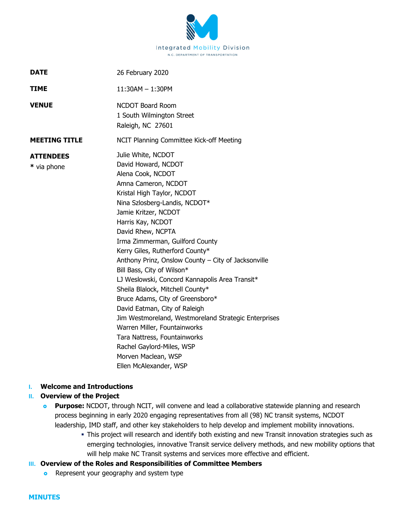

| <b>DATE</b>                     | 26 February 2020                                                                                                                                                                                                                                                                                                                                                                                                                                                                                                                                                                                                                                                     |
|---------------------------------|----------------------------------------------------------------------------------------------------------------------------------------------------------------------------------------------------------------------------------------------------------------------------------------------------------------------------------------------------------------------------------------------------------------------------------------------------------------------------------------------------------------------------------------------------------------------------------------------------------------------------------------------------------------------|
| TIME                            | 11:30AM - 1:30PM                                                                                                                                                                                                                                                                                                                                                                                                                                                                                                                                                                                                                                                     |
| <b>VENUE</b>                    | <b>NCDOT Board Room</b><br>1 South Wilmington Street<br>Raleigh, NC 27601                                                                                                                                                                                                                                                                                                                                                                                                                                                                                                                                                                                            |
| <b>MEETING TITLE</b>            | NCIT Planning Committee Kick-off Meeting                                                                                                                                                                                                                                                                                                                                                                                                                                                                                                                                                                                                                             |
| <b>ATTENDEES</b><br>* via phone | Julie White, NCDOT<br>David Howard, NCDOT<br>Alena Cook, NCDOT<br>Amna Cameron, NCDOT<br>Kristal High Taylor, NCDOT<br>Nina Szlosberg-Landis, NCDOT*<br>Jamie Kritzer, NCDOT<br>Harris Kay, NCDOT<br>David Rhew, NCPTA<br>Irma Zimmerman, Guilford County<br>Kerry Giles, Rutherford County*<br>Anthony Prinz, Onslow County - City of Jacksonville<br>Bill Bass, City of Wilson*<br>LJ Weslowski, Concord Kannapolis Area Transit*<br>Sheila Blalock, Mitchell County*<br>Bruce Adams, City of Greensboro*<br>David Eatman, City of Raleigh<br>Jim Westmoreland, Westmoreland Strategic Enterprises<br>Warren Miller, Fountainworks<br>Tara Nattress, Fountainworks |
|                                 | Rachel Gaylord-Miles, WSP<br>Morven Maclean, WSP<br>Ellen McAlexander, WSP                                                                                                                                                                                                                                                                                                                                                                                                                                                                                                                                                                                           |

#### **I. Welcome and Introductions**

# **II. Overview of the Project**

- **Purpose:** NCDOT, through NCIT, will convene and lead a collaborative statewide planning and research process beginning in early 2020 engaging representatives from all (98) NC transit systems, NCDOT leadership, IMD staff, and other key stakeholders to help develop and implement mobility innovations.
	- This project will research and identify both existing and new Transit innovation strategies such as emerging technologies, innovative Transit service delivery methods, and new mobility options that will help make NC Transit systems and services more effective and efficient.

#### **III. Overview of the Roles and Responsibilities of Committee Members**

**•** Represent your geography and system type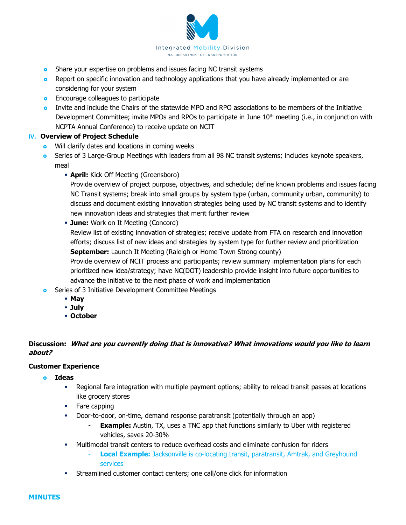

- **o** Share your expertise on problems and issues facing NC transit systems
- **•** Report on specific innovation and technology applications that you have already implemented or are considering for your system
- **Encourage colleagues to participate**
- Invite and include the Chairs of the statewide MPO and RPO associations to be members of the Initiative Development Committee; invite MPOs and RPOs to participate in June  $10<sup>th</sup>$  meeting (i.e., in conjunction with NCPTA Annual Conference) to receive update on NCIT

# **IV. Overview of Project Schedule**

- **o** Will clarify dates and locations in coming weeks
- **o** Series of 3 Large-Group Meetings with leaders from all 98 NC transit systems; includes keynote speakers, meal
	- **April:** Kick Off Meeting (Greensboro)

Provide overview of project purpose, objectives, and schedule; define known problems and issues facing NC Transit systems; break into small groups by system type (urban, community urban, community) to discuss and document existing innovation strategies being used by NC transit systems and to identify new innovation ideas and strategies that merit further review

**June:** Work on It Meeting (Concord)

Review list of existing innovation of strategies; receive update from FTA on research and innovation efforts; discuss list of new ideas and strategies by system type for further review and prioritization **September:** Launch It Meeting (Raleigh or Home Town Strong county)

Provide overview of NCIT process and participants; review summary implementation plans for each prioritized new idea/strategy; have NC(DOT) leadership provide insight into future opportunities to advance the initiative to the next phase of work and implementation

- **o** Series of 3 Initiative Development Committee Meetings
	- **May**
	- **July**
	- **October**

# **Discussion: What are you currently doing that is innovative? What innovations would you like to learn about?**

#### **Customer Experience**

- **Ideas** 
	- Regional fare integration with multiple payment options; ability to reload transit passes at locations like grocery stores
	- Fare capping
	- Door-to-door, on-time, demand response paratransit (potentially through an app)
		- **Example:** Austin, TX, uses a TNC app that functions similarly to Uber with registered vehicles, saves 20-30%
	- Multimodal transit centers to reduce overhead costs and eliminate confusion for riders
		- **Local Example:** Jacksonville is co-locating transit, paratransit, Amtrak, and Greyhound services
	- Streamlined customer contact centers; one call/one click for information

**MINUTES**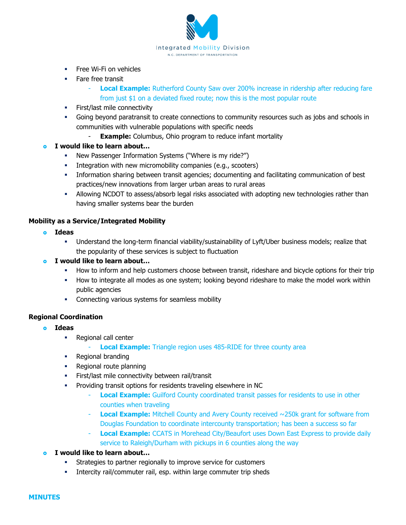

- **Free Wi-Fi on vehicles**
- **Fare free transit** 
	- **Local Example:** Rutherford County Saw over 200% increase in ridership after reducing fare from just \$1 on a deviated fixed route; now this is the most popular route
- **First/last mile connectivity**
- Going beyond paratransit to create connections to community resources such as jobs and schools in communities with vulnerable populations with specific needs
	- **Example:** Columbus, Ohio program to reduce infant mortality
- **I would like to learn about…** 
	- New Passenger Information Systems ("Where is my ride?")
	- Integration with new micromobility companies (e.g., scooters)
	- Information sharing between transit agencies; documenting and facilitating communication of best practices/new innovations from larger urban areas to rural areas
	- Allowing NCDOT to assess/absorb legal risks associated with adopting new technologies rather than having smaller systems bear the burden

### **Mobility as a Service/Integrated Mobility**

- **Ideas** 
	- Understand the long-term financial viability/sustainability of Lyft/Uber business models; realize that the popularity of these services is subject to fluctuation
- **I would like to learn about…** 
	- How to inform and help customers choose between transit, rideshare and bicycle options for their trip
	- How to integrate all modes as one system; looking beyond rideshare to make the model work within public agencies
	- **EXECONNECT** Connecting various systems for seamless mobility

#### **Regional Coordination**

- **Ideas** 
	- Regional call center
		- **Local Example:** Triangle region uses 485-RIDE for three county area
	- Regional branding
	- Regional route planning
	- **First/last mile connectivity between rail/transit**
	- Providing transit options for residents traveling elsewhere in NC
		- **Local Example:** Guilford County coordinated transit passes for residents to use in other counties when traveling
		- **Local Example:** Mitchell County and Avery County received ~250k grant for software from Douglas Foundation to coordinate intercounty transportation; has been a success so far
		- **Local Example:** CCATS in Morehead City/Beaufort uses Down East Express to provide daily service to Raleigh/Durham with pickups in 6 counties along the way
- **I would like to learn about…** 
	- Strategies to partner regionally to improve service for customers
	- **Intercity rail/commuter rail, esp. within large commuter trip sheds**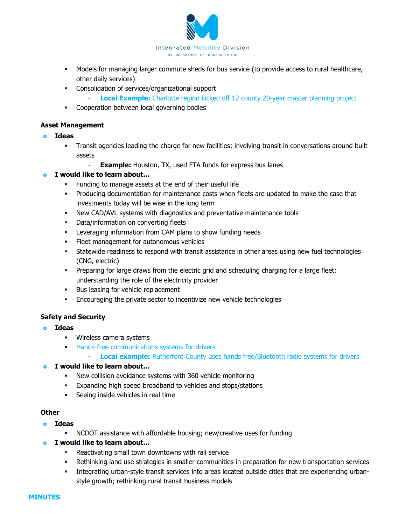

- Models for managing larger commute sheds for bus service (to provide access to rural healthcare, other daily services)
- Consolidation of services/organizational support
	- **Local Example:** Charlotte region kicked off 12 county 20-year master planning project
- **Cooperation between local governing bodies**

#### **Asset Management**

- **Ideas** 
	- Transit agencies leading the charge for new facilities; involving transit in conversations around built assets
		- **Example:** Houston, TX, used FTA funds for express bus lanes

#### **I would like to learn about…**

- Funding to manage assets at the end of their useful life
- Producing documentation for maintenance costs when fleets are updated to make the case that investments today will be wise in the long term
- New CAD/AVL systems with diagnostics and preventative maintenance tools
- **•** Data/information on converting fleets
- **EXECT:** Leveraging information from CAM plans to show funding needs
- Fleet management for autonomous vehicles
- Statewide readiness to respond with transit assistance in other areas using new fuel technologies (CNG, electric)
- Preparing for large draws from the electric grid and scheduling charging for a large fleet; understanding the role of the electricity provider
- **Bus leasing for vehicle replacement**
- **Encouraging the private sector to incentivize new vehicle technologies**

#### **Safety and Security**

- **Ideas** 
	- **Wireless camera systems**
	- **Hands-free communications systems for drivers** 
		- **Local example:** Rutherford County uses hands free/Bluetooth radio systems for drivers

#### **I would like to learn about…**

- New collision avoidance systems with 360 vehicle monitoring
- Expanding high speed broadband to vehicles and stops/stations
- **Seeing inside vehicles in real time**

# **Other**

- **Ideas** 
	- NCDOT assistance with affordable housing; new/creative uses for funding
- **I would like to learn about…** 
	- **Reactivating small town downtowns with rail service**
	- Rethinking land use strategies in smaller communities in preparation for new transportation services
	- Integrating urban-style transit services into areas located outside cities that are experiencing urbanstyle growth; rethinking rural transit business models